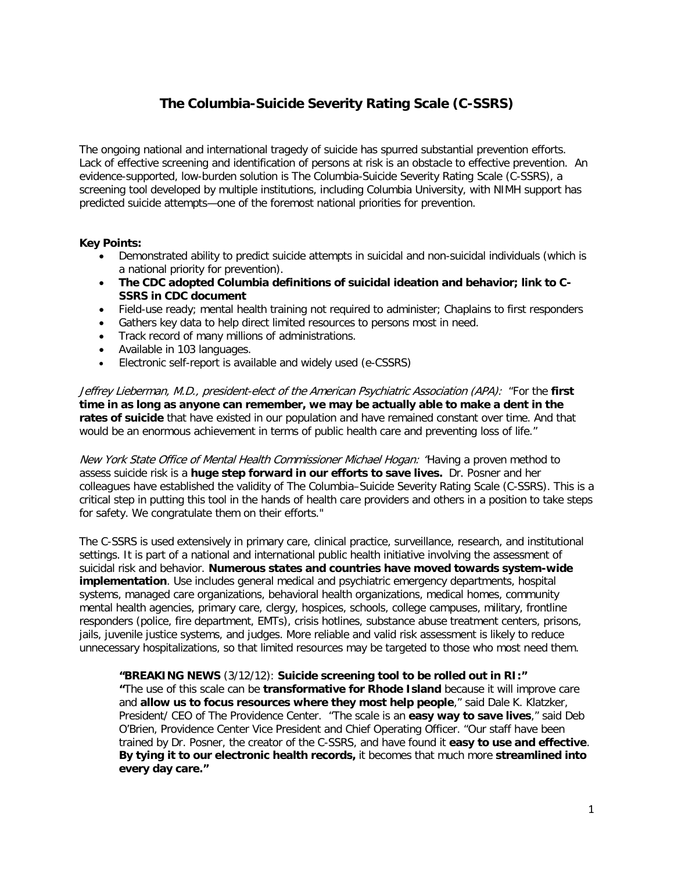# **The Columbia-Suicide Severity Rating Scale (C-SSRS)**

The ongoing national and international tragedy of suicide has spurred substantial prevention efforts. Lack of effective screening and identification of persons at risk is an obstacle to effective prevention. An evidence-supported, low-burden solution is The Columbia-Suicide Severity Rating Scale (C-SSRS), a screening tool developed by multiple institutions, including Columbia University, with NIMH support has predicted suicide attempts—one of the foremost national priorities for prevention.

## **Key Points:**

- Demonstrated ability to predict suicide attempts in suicidal and non-suicidal individuals (which is a national priority for prevention).
- **The CDC adopted Columbia definitions of suicidal ideation and behavior; link to C-SSRS in CDC document**
- Field-use ready; mental health training not required to administer; Chaplains to first responders
- Gathers key data to help direct limited resources to persons most in need.
- Track record of many millions of administrations.
- Available in 103 languages.
- Electronic self-report is available and widely used (e-CSSRS)

Jeffrey Lieberman, M.D., president-elect of the American Psychiatric Association (APA): "For the **first time in as long as anyone can remember, we may be actually able to make a dent in the rates of suicide** that have existed in our population and have remained constant over time. And that would be an enormous achievement in terms of public health care and preventing loss of life."

New York State Office of Mental Health Commissioner Michael Hogan: "Having a proven method to assess suicide risk is a **huge step forward in our efforts to save lives.** Dr. Posner and her colleagues have established the validity of The Columbia–Suicide Severity Rating Scale (C-SSRS). This is a critical step in putting this tool in the hands of health care providers and others in a position to take steps for safety. We congratulate them on their efforts."

The C-SSRS is used extensively in primary care, clinical practice, surveillance, research, and institutional settings. It is part of a national and international public health initiative involving the assessment of suicidal risk and behavior. **Numerous states and countries have moved towards system-wide implementation**. Use includes general medical and psychiatric emergency departments, hospital systems, managed care organizations, behavioral health organizations, medical homes, community mental health agencies, primary care, clergy, hospices, schools, college campuses, military, frontline responders (police, fire department, EMTs), crisis hotlines, substance abuse treatment centers, prisons, jails, juvenile justice systems, and judges. More reliable and valid risk assessment is likely to reduce unnecessary hospitalizations, so that limited resources may be targeted to those who most need them.

**"BREAKING NEWS** (3/12/12): **Suicide screening tool to be rolled out in RI:" "**The use of this scale can be **transformative for Rhode Island** because it will improve care and **allow us to focus resources where they most help people**," said Dale K. Klatzker, President/ CEO of The Providence Center. "The scale is an **easy way to save lives**," said Deb O'Brien, Providence Center Vice President and Chief Operating Officer. "Our staff have been trained by Dr. Posner, the creator of the C-SSRS, and have found it **easy to use and effective**. **By tying it to our electronic health records,** it becomes that much more **streamlined into every day care."**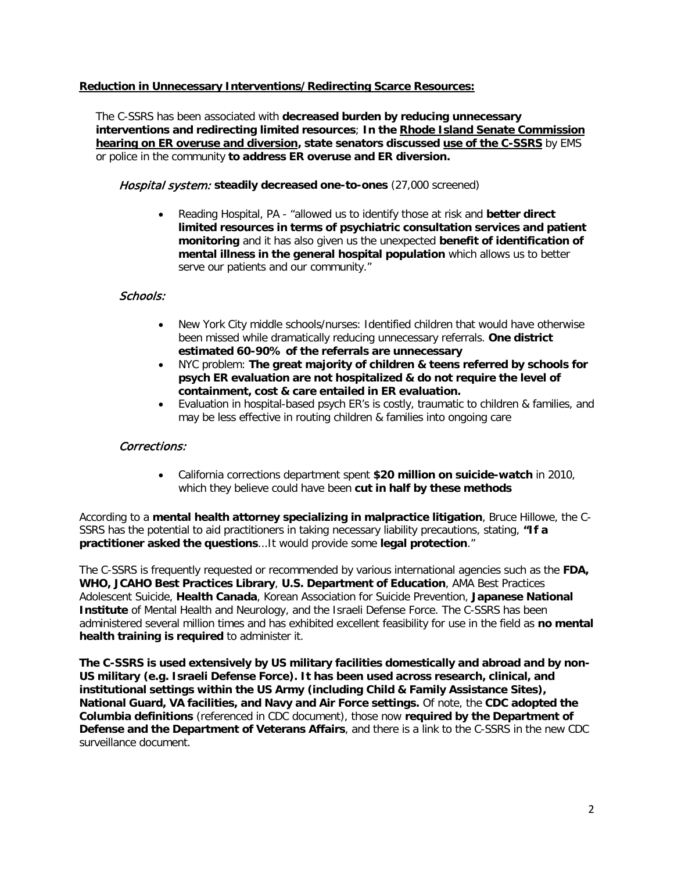## **Reduction in Unnecessary Interventions/Redirecting Scarce Resources:**

The C-SSRS has been associated with **decreased burden by reducing unnecessary interventions and redirecting limited resources**; **In the Rhode Island Senate Commission hearing on ER overuse and diversion, state senators discussed use of the C-SSRS** by EMS or police in the community **to address ER overuse and ER diversion.**

Hospital system: **steadily decreased one-to-ones** (27,000 screened)

• Reading Hospital, PA - "allowed us to identify those at risk and **better direct limited resources in terms of psychiatric consultation services and patient monitoring** and it has also given us the unexpected **benefit of identification of mental illness in the general hospital population** which allows us to better serve our patients and our community."

# Schools:

- New York City middle schools/nurses: Identified children that would have otherwise been missed while dramatically reducing unnecessary referrals. **One district estimated 60-90% of the referrals are unnecessary**
- NYC problem: **The great majority of children & teens referred by schools for psych ER evaluation are not hospitalized & do not require the level of containment, cost & care entailed in ER evaluation.**
- Evaluation in hospital-based psych ER's is costly, traumatic to children & families, and may be less effective in routing children & families into ongoing care

## Corrections:

• California corrections department spent **\$20 million on suicide-watch** in 2010, which they believe could have been **cut in half by these methods**

According to a **mental health attorney specializing in malpractice litigation**, Bruce Hillowe, the C-SSRS has the potential to aid practitioners in taking necessary liability precautions, stating, **"If a practitioner asked the questions**...It would provide some **legal protection**."

The C-SSRS is frequently requested or recommended by various international agencies such as the **FDA, WHO, JCAHO Best Practices Library**, **U.S. Department of Education**, AMA Best Practices Adolescent Suicide, **Health Canada**, Korean Association for Suicide Prevention, **Japanese National Institute** of Mental Health and Neurology, and the Israeli Defense Force. The C-SSRS has been administered several million times and has exhibited excellent feasibility for use in the field as **no mental health training is required** to administer it.

**The C-SSRS is used extensively by US military facilities domestically and abroad and by non-US military (e.g. Israeli Defense Force). It has been used across research, clinical, and institutional settings within the US Army (including Child & Family Assistance Sites), National Guard, VA facilities, and Navy and Air Force settings.** Of note, the **CDC adopted the Columbia definitions** (referenced in CDC document), those now **required by the Department of Defense and the Department of Veterans Affairs**, and there is a link to the C-SSRS in the new CDC surveillance document.